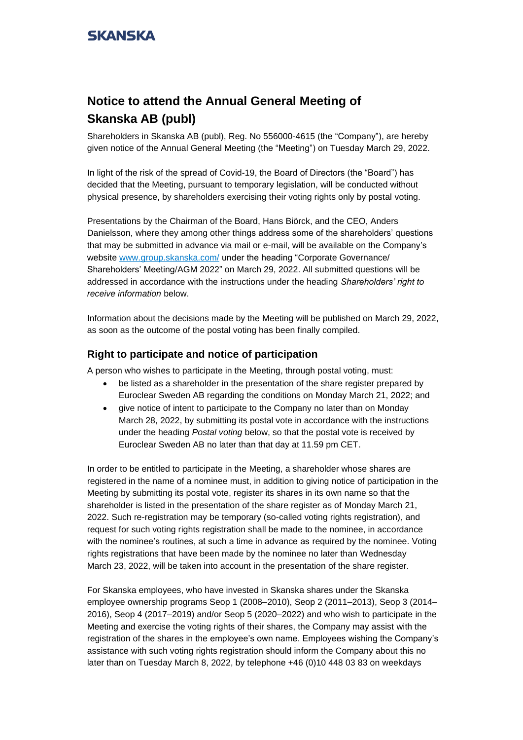# **Notice to attend the Annual General Meeting of Skanska AB (publ)**

Shareholders in Skanska AB (publ), Reg. No 556000-4615 (the "Company"), are hereby given notice of the Annual General Meeting (the "Meeting") on Tuesday March 29, 2022.

In light of the risk of the spread of Covid-19, the Board of Directors (the "Board") has decided that the Meeting, pursuant to temporary legislation, will be conducted without physical presence, by shareholders exercising their voting rights only by postal voting.

Presentations by the Chairman of the Board, Hans Biörck, and the CEO, Anders Danielsson, where they among other things address some of the shareholders' questions that may be submitted in advance via mail or e-mail, will be available on the Company's website [www.group.skanska.com/](http://www.group.skanska.com/) under the heading "Corporate Governance/ Shareholders' Meeting/AGM 2022" on March 29, 2022. All submitted questions will be addressed in accordance with the instructions under the heading *Shareholders' right to receive information* below.

Information about the decisions made by the Meeting will be published on March 29, 2022, as soon as the outcome of the postal voting has been finally compiled.

## **Right to participate and notice of participation**

A person who wishes to participate in the Meeting, through postal voting, must:

- be listed as a shareholder in the presentation of the share register prepared by Euroclear Sweden AB regarding the conditions on Monday March 21, 2022; and
- give notice of intent to participate to the Company no later than on Monday March 28, 2022, by submitting its postal vote in accordance with the instructions under the heading *Postal voting* below, so that the postal vote is received by Euroclear Sweden AB no later than that day at 11.59 pm CET.

In order to be entitled to participate in the Meeting, a shareholder whose shares are registered in the name of a nominee must, in addition to giving notice of participation in the Meeting by submitting its postal vote, register its shares in its own name so that the shareholder is listed in the presentation of the share register as of Monday March 21, 2022. Such re-registration may be temporary (so-called voting rights registration), and request for such voting rights registration shall be made to the nominee, in accordance with the nominee's routines, at such a time in advance as required by the nominee. Voting rights registrations that have been made by the nominee no later than Wednesday March 23, 2022, will be taken into account in the presentation of the share register.

For Skanska employees, who have invested in Skanska shares under the Skanska employee ownership programs Seop 1 (2008–2010), Seop 2 (2011–2013), Seop 3 (2014– 2016), Seop 4 (2017–2019) and/or Seop 5 (2020–2022) and who wish to participate in the Meeting and exercise the voting rights of their shares, the Company may assist with the registration of the shares in the employee's own name. Employees wishing the Company's assistance with such voting rights registration should inform the Company about this no later than on Tuesday March 8, 2022, by telephone +46 (0)10 448 03 83 on weekdays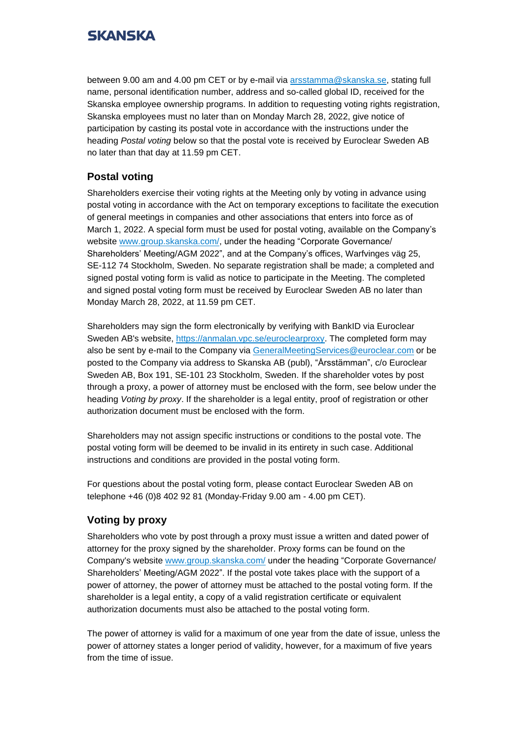between 9.00 am and 4.00 pm CET or by e-mail via [arsstamma@skanska.se,](mailto:arsstamma@skanska.se) stating full name, personal identification number, address and so-called global ID, received for the Skanska employee ownership programs. In addition to requesting voting rights registration, Skanska employees must no later than on Monday March 28, 2022, give notice of participation by casting its postal vote in accordance with the instructions under the heading *Postal voting* below so that the postal vote is received by Euroclear Sweden AB no later than that day at 11.59 pm CET.

## **Postal voting**

Shareholders exercise their voting rights at the Meeting only by voting in advance using postal voting in accordance with the Act on temporary exceptions to facilitate the execution of general meetings in companies and other associations that enters into force as of March 1, 2022. A special form must be used for postal voting, available on the Company's website [www.group.skanska.com/,](http://www.group.skanska.com/) under the heading "Corporate Governance/ Shareholders' Meeting/AGM 2022", and at the Company's offices, Warfvinges väg 25, SE-112 74 Stockholm, Sweden. No separate registration shall be made; a completed and signed postal voting form is valid as notice to participate in the Meeting. The completed and signed postal voting form must be received by Euroclear Sweden AB no later than Monday March 28, 2022, at 11.59 pm CET.

Shareholders may sign the form electronically by verifying with BankID via Euroclear Sweden AB's website, [https://anmalan.vpc.se/euroclearproxy.](https://anmalan.vpc.se/euroclearproxy) The completed form may also be sent by e-mail to the Company via [GeneralMeetingServices@euroclear.com](mailto:GeneralMeetingServices@euroclear.eu) or be posted to the Company via address to Skanska AB (publ), "Årsstämman", c/o Euroclear Sweden AB, Box 191, SE-101 23 Stockholm, Sweden. If the shareholder votes by post through a proxy, a power of attorney must be enclosed with the form, see below under the heading *Voting by proxy*. If the shareholder is a legal entity, proof of registration or other authorization document must be enclosed with the form.

Shareholders may not assign specific instructions or conditions to the postal vote. The postal voting form will be deemed to be invalid in its entirety in such case. Additional instructions and conditions are provided in the postal voting form.

For questions about the postal voting form, please contact Euroclear Sweden AB on telephone +46 (0)8 402 92 81 (Monday-Friday 9.00 am - 4.00 pm CET).

## **Voting by proxy**

Shareholders who vote by post through a proxy must issue a written and dated power of attorney for the proxy signed by the shareholder. Proxy forms can be found on the Company's website [www.group.skanska.com/](http://www.group.skanska.com/) under the heading "Corporate Governance/ Shareholders' Meeting/AGM 2022". If the postal vote takes place with the support of a power of attorney, the power of attorney must be attached to the postal voting form. If the shareholder is a legal entity, a copy of a valid registration certificate or equivalent authorization documents must also be attached to the postal voting form.

The power of attorney is valid for a maximum of one year from the date of issue, unless the power of attorney states a longer period of validity, however, for a maximum of five years from the time of issue.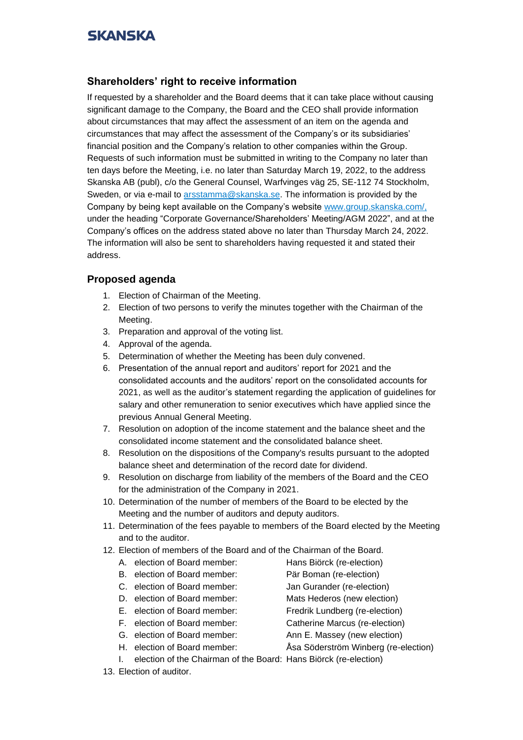## **Shareholders' right to receive information**

If requested by a shareholder and the Board deems that it can take place without causing significant damage to the Company, the Board and the CEO shall provide information about circumstances that may affect the assessment of an item on the agenda and circumstances that may affect the assessment of the Company's or its subsidiaries' financial position and the Company's relation to other companies within the Group. Requests of such information must be submitted in writing to the Company no later than ten days before the Meeting, i.e. no later than Saturday March 19, 2022, to the address Skanska AB (publ), c/o the General Counsel, Warfvinges väg 25, SE-112 74 Stockholm, Sweden, or via e-mail to [arsstamma@skanska.se.](mailto:extrabolagsstamma@skanska.com) The information is provided by the Company by being kept available on the Company's website [www.group.skanska.com/,](http://www.group.skanska.com/) under the heading "Corporate Governance/Shareholders' Meeting/AGM 2022", and at the Company's offices on the address stated above no later than Thursday March 24, 2022. The information will also be sent to shareholders having requested it and stated their address.

## **Proposed agenda**

- 1. Election of Chairman of the Meeting.
- 2. Election of two persons to verify the minutes together with the Chairman of the Meeting.
- 3. Preparation and approval of the voting list.
- 4. Approval of the agenda.
- 5. Determination of whether the Meeting has been duly convened.
- 6. Presentation of the annual report and auditors' report for 2021 and the consolidated accounts and the auditors' report on the consolidated accounts for 2021, as well as the auditor's statement regarding the application of guidelines for salary and other remuneration to senior executives which have applied since the previous Annual General Meeting.
- 7. Resolution on adoption of the income statement and the balance sheet and the consolidated income statement and the consolidated balance sheet.
- 8. Resolution on the dispositions of the Company's results pursuant to the adopted balance sheet and determination of the record date for dividend.
- 9. Resolution on discharge from liability of the members of the Board and the CEO for the administration of the Company in 2021.
- 10. Determination of the number of members of the Board to be elected by the Meeting and the number of auditors and deputy auditors.
- 11. Determination of the fees payable to members of the Board elected by the Meeting and to the auditor.
- 12. Election of members of the Board and of the Chairman of the Board.
	- A. election of Board member: Hans Biörck (re-election)
	- B. election of Board member: Pär Boman (re-election)
	- C. election of Board member: Jan Gurander (re-election)
	- D. election of Board member: Mats Hederos (new election)
	- E. election of Board member: Fredrik Lundberg (re-election)
	- F. election of Board member: Catherine Marcus (re-election)
	- G. election of Board member: Ann E. Massey (new election)
	-
- 
- H. election of Board member: Åsa Söderström Winberg (re-election)
- I. election of the Chairman of the Board: Hans Biörck (re-election)
- 13. Election of auditor.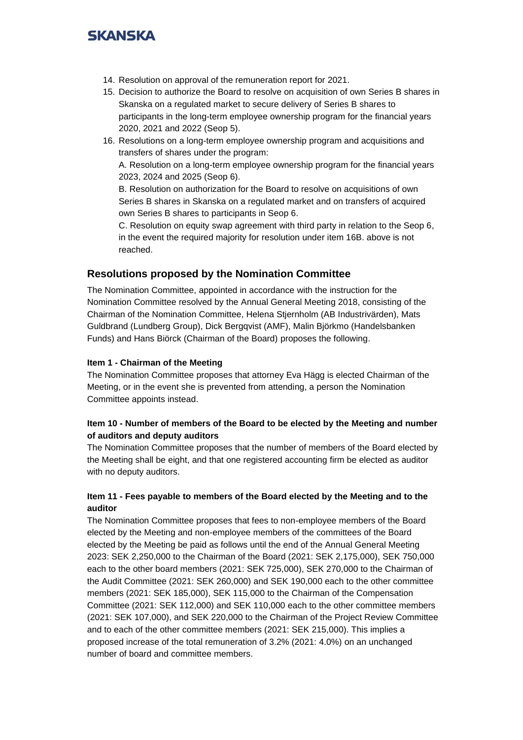- 14. Resolution on approval of the remuneration report for 2021.
- 15. Decision to authorize the Board to resolve on acquisition of own Series B shares in Skanska on a regulated market to secure delivery of Series B shares to participants in the long-term employee ownership program for the financial years 2020, 2021 and 2022 (Seop 5).
- 16. Resolutions on a long-term employee ownership program and acquisitions and transfers of shares under the program:

A. Resolution on a long-term employee ownership program for the financial years 2023, 2024 and 2025 (Seop 6).

B. Resolution on authorization for the Board to resolve on acquisitions of own Series B shares in Skanska on a regulated market and on transfers of acquired own Series B shares to participants in Seop 6.

C. Resolution on equity swap agreement with third party in relation to the Seop 6, in the event the required majority for resolution under item 16B. above is not reached.

## **Resolutions proposed by the Nomination Committee**

The Nomination Committee, appointed in accordance with the instruction for the Nomination Committee resolved by the Annual General Meeting 2018, consisting of the Chairman of the Nomination Committee, Helena Stjernholm (AB Industrivärden), Mats Guldbrand (Lundberg Group), Dick Bergqvist (AMF), Malin Björkmo (Handelsbanken Funds) and Hans Biörck (Chairman of the Board) proposes the following.

### **Item 1 - Chairman of the Meeting**

The Nomination Committee proposes that attorney Eva Hägg is elected Chairman of the Meeting, or in the event she is prevented from attending, a person the Nomination Committee appoints instead.

## **Item 10 - Number of members of the Board to be elected by the Meeting and number of auditors and deputy auditors**

The Nomination Committee proposes that the number of members of the Board elected by the Meeting shall be eight, and that one registered accounting firm be elected as auditor with no deputy auditors.

## **Item 11 - Fees payable to members of the Board elected by the Meeting and to the auditor**

The Nomination Committee proposes that fees to non-employee members of the Board elected by the Meeting and non-employee members of the committees of the Board elected by the Meeting be paid as follows until the end of the Annual General Meeting 2023: SEK 2,250,000 to the Chairman of the Board (2021: SEK 2,175,000), SEK 750,000 each to the other board members (2021: SEK 725,000), SEK 270,000 to the Chairman of the Audit Committee (2021: SEK 260,000) and SEK 190,000 each to the other committee members (2021: SEK 185,000), SEK 115,000 to the Chairman of the Compensation Committee (2021: SEK 112,000) and SEK 110,000 each to the other committee members (2021: SEK 107,000), and SEK 220,000 to the Chairman of the Project Review Committee and to each of the other committee members (2021: SEK 215,000). This implies a proposed increase of the total remuneration of 3.2% (2021: 4.0%) on an unchanged number of board and committee members.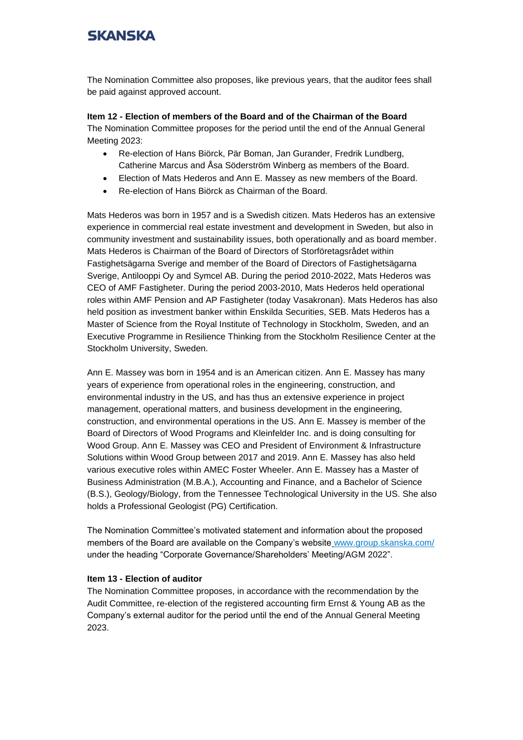The Nomination Committee also proposes, like previous years, that the auditor fees shall be paid against approved account.

**Item 12 - Election of members of the Board and of the Chairman of the Board** The Nomination Committee proposes for the period until the end of the Annual General Meeting 2023:

- Re-election of Hans Biörck, Pär Boman, Jan Gurander, Fredrik Lundberg, Catherine Marcus and Åsa Söderström Winberg as members of the Board.
- Election of Mats Hederos and Ann E. Massey as new members of the Board.
- Re-election of Hans Biörck as Chairman of the Board.

Mats Hederos was born in 1957 and is a Swedish citizen. Mats Hederos has an extensive experience in commercial real estate investment and development in Sweden, but also in community investment and sustainability issues, both operationally and as board member. Mats Hederos is Chairman of the Board of Directors of Storföretagsrådet within Fastighetsägarna Sverige and member of the Board of Directors of Fastighetsägarna Sverige, Antilooppi Oy and Symcel AB. During the period 2010-2022, Mats Hederos was CEO of AMF Fastigheter. During the period 2003-2010, Mats Hederos held operational roles within AMF Pension and AP Fastigheter (today Vasakronan). Mats Hederos has also held position as investment banker within Enskilda Securities, SEB. Mats Hederos has a Master of Science from the Royal Institute of Technology in Stockholm, Sweden, and an Executive Programme in Resilience Thinking from the Stockholm Resilience Center at the Stockholm University, Sweden.

Ann E. Massey was born in 1954 and is an American citizen. Ann E. Massey has many years of experience from operational roles in the engineering, construction, and environmental industry in the US, and has thus an extensive experience in project management, operational matters, and business development in the engineering, construction, and environmental operations in the US. Ann E. Massey is member of the Board of Directors of Wood Programs and Kleinfelder Inc. and is doing consulting for Wood Group. Ann E. Massey was CEO and President of Environment & Infrastructure Solutions within Wood Group between 2017 and 2019. Ann E. Massey has also held various executive roles within AMEC Foster Wheeler. Ann E. Massey has a Master of Business Administration (M.B.A.), Accounting and Finance, and a Bachelor of Science (B.S.), Geology/Biology, from the Tennessee Technological University in the US. She also holds a Professional Geologist (PG) Certification.

The Nomination Committee's motivated statement and information about the proposed members of the Board are available on the Company's website [www.group.skanska.com/](http://www.group.skanska.com/) under the heading "Corporate Governance/Shareholders' Meeting/AGM 2022".

### **Item 13 - Election of auditor**

The Nomination Committee proposes, in accordance with the recommendation by the Audit Committee, re-election of the registered accounting firm Ernst & Young AB as the Company's external auditor for the period until the end of the Annual General Meeting 2023.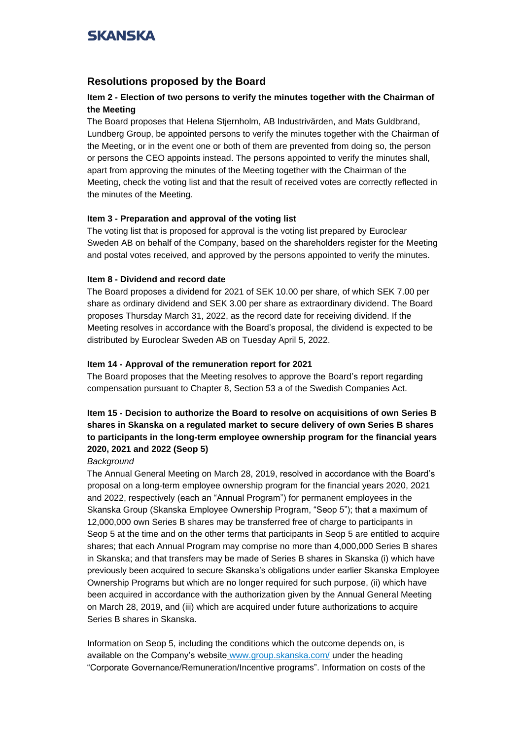## **Resolutions proposed by the Board**

## **Item 2 - Election of two persons to verify the minutes together with the Chairman of the Meeting**

The Board proposes that Helena Stjernholm, AB Industrivärden, and Mats Guldbrand, Lundberg Group, be appointed persons to verify the minutes together with the Chairman of the Meeting, or in the event one or both of them are prevented from doing so, the person or persons the CEO appoints instead. The persons appointed to verify the minutes shall, apart from approving the minutes of the Meeting together with the Chairman of the Meeting, check the voting list and that the result of received votes are correctly reflected in the minutes of the Meeting.

### **Item 3 - Preparation and approval of the voting list**

The voting list that is proposed for approval is the voting list prepared by Euroclear Sweden AB on behalf of the Company, based on the shareholders register for the Meeting and postal votes received, and approved by the persons appointed to verify the minutes.

### **Item 8 - Dividend and record date**

The Board proposes a dividend for 2021 of SEK 10.00 per share, of which SEK 7.00 per share as ordinary dividend and SEK 3.00 per share as extraordinary dividend. The Board proposes Thursday March 31, 2022, as the record date for receiving dividend. If the Meeting resolves in accordance with the Board's proposal, the dividend is expected to be distributed by Euroclear Sweden AB on Tuesday April 5, 2022.

### **Item 14 - Approval of the remuneration report for 2021**

The Board proposes that the Meeting resolves to approve the Board's report regarding compensation pursuant to Chapter 8, Section 53 a of the Swedish Companies Act.

## **Item 15 - Decision to authorize the Board to resolve on acquisitions of own Series B shares in Skanska on a regulated market to secure delivery of own Series B shares to participants in the long-term employee ownership program for the financial years 2020, 2021 and 2022 (Seop 5)**

### *Background*

The Annual General Meeting on March 28, 2019, resolved in accordance with the Board's proposal on a long-term employee ownership program for the financial years 2020, 2021 and 2022, respectively (each an "Annual Program") for permanent employees in the Skanska Group (Skanska Employee Ownership Program, "Seop 5"); that a maximum of 12,000,000 own Series B shares may be transferred free of charge to participants in Seop 5 at the time and on the other terms that participants in Seop 5 are entitled to acquire shares; that each Annual Program may comprise no more than 4,000,000 Series B shares in Skanska; and that transfers may be made of Series B shares in Skanska (i) which have previously been acquired to secure Skanska's obligations under earlier Skanska Employee Ownership Programs but which are no longer required for such purpose, (ii) which have been acquired in accordance with the authorization given by the Annual General Meeting on March 28, 2019, and (iii) which are acquired under future authorizations to acquire Series B shares in Skanska.

Information on Seop 5, including the conditions which the outcome depends on, is available on the Company's website [www.group.skanska.com/](http://www.group.skanska.com/) under the heading "Corporate Governance/Remuneration/Incentive programs". Information on costs of the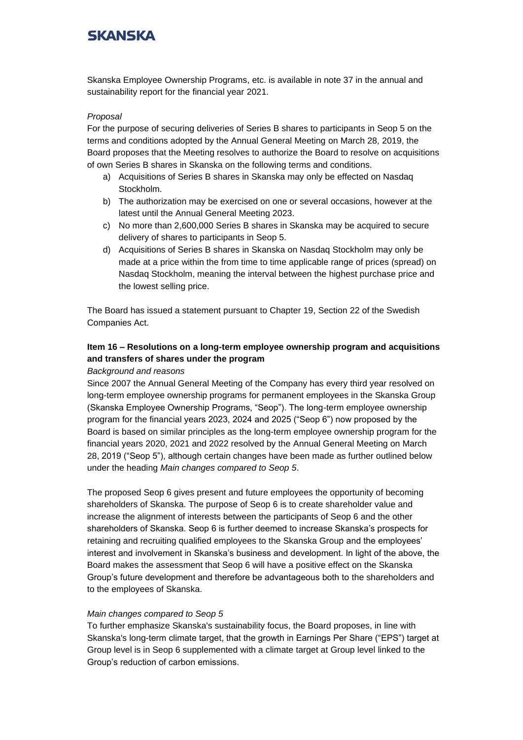Skanska Employee Ownership Programs, etc. is available in note 37 in the annual and sustainability report for the financial year 2021.

### *Proposal*

For the purpose of securing deliveries of Series B shares to participants in Seop 5 on the terms and conditions adopted by the Annual General Meeting on March 28, 2019, the Board proposes that the Meeting resolves to authorize the Board to resolve on acquisitions of own Series B shares in Skanska on the following terms and conditions.

- a) Acquisitions of Series B shares in Skanska may only be effected on Nasdaq Stockholm.
- b) The authorization may be exercised on one or several occasions, however at the latest until the Annual General Meeting 2023.
- c) No more than 2,600,000 Series B shares in Skanska may be acquired to secure delivery of shares to participants in Seop 5.
- d) Acquisitions of Series B shares in Skanska on Nasdaq Stockholm may only be made at a price within the from time to time applicable range of prices (spread) on Nasdaq Stockholm, meaning the interval between the highest purchase price and the lowest selling price.

The Board has issued a statement pursuant to Chapter 19, Section 22 of the Swedish Companies Act.

## **Item 16 – Resolutions on a long-term employee ownership program and acquisitions and transfers of shares under the program**

### *Background and reasons*

Since 2007 the Annual General Meeting of the Company has every third year resolved on long-term employee ownership programs for permanent employees in the Skanska Group (Skanska Employee Ownership Programs, "Seop"). The long-term employee ownership program for the financial years 2023, 2024 and 2025 ("Seop 6") now proposed by the Board is based on similar principles as the long-term employee ownership program for the financial years 2020, 2021 and 2022 resolved by the Annual General Meeting on March 28, 2019 ("Seop 5"), although certain changes have been made as further outlined below under the heading *Main changes compared to Seop 5*.

The proposed Seop 6 gives present and future employees the opportunity of becoming shareholders of Skanska. The purpose of Seop 6 is to create shareholder value and increase the alignment of interests between the participants of Seop 6 and the other shareholders of Skanska. Seop 6 is further deemed to increase Skanska's prospects for retaining and recruiting qualified employees to the Skanska Group and the employees' interest and involvement in Skanska's business and development. In light of the above, the Board makes the assessment that Seop 6 will have a positive effect on the Skanska Group's future development and therefore be advantageous both to the shareholders and to the employees of Skanska.

### *Main changes compared to Seop 5*

To further emphasize Skanska's sustainability focus, the Board proposes, in line with Skanska's long-term climate target, that the growth in Earnings Per Share ("EPS") target at Group level is in Seop 6 supplemented with a climate target at Group level linked to the Group's reduction of carbon emissions.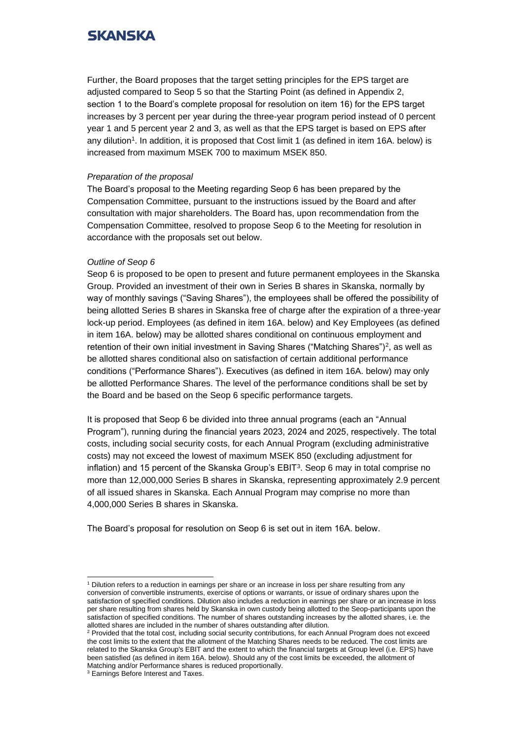Further, the Board proposes that the target setting principles for the EPS target are adjusted compared to Seop 5 so that the Starting Point (as defined in Appendix 2, section 1 to the Board's complete proposal for resolution on item 16) for the EPS target increases by 3 percent per year during the three-year program period instead of 0 percent year 1 and 5 percent year 2 and 3, as well as that the EPS target is based on EPS after any dilution<sup>1</sup>. In addition, it is proposed that Cost limit 1 (as defined in item 16A. below) is increased from maximum MSEK 700 to maximum MSEK 850.

### *Preparation of the proposal*

The Board's proposal to the Meeting regarding Seop 6 has been prepared by the Compensation Committee, pursuant to the instructions issued by the Board and after consultation with major shareholders. The Board has, upon recommendation from the Compensation Committee, resolved to propose Seop 6 to the Meeting for resolution in accordance with the proposals set out below.

### *Outline of Seop 6*

Seop 6 is proposed to be open to present and future permanent employees in the Skanska Group. Provided an investment of their own in Series B shares in Skanska, normally by way of monthly savings ("Saving Shares"), the employees shall be offered the possibility of being allotted Series B shares in Skanska free of charge after the expiration of a three-year lock-up period. Employees (as defined in item 16A. below) and Key Employees (as defined in item 16A. below) may be allotted shares conditional on continuous employment and retention of their own initial investment in Saving Shares ("Matching Shares")<sup>2</sup> , as well as be allotted shares conditional also on satisfaction of certain additional performance conditions ("Performance Shares"). Executives (as defined in item 16A. below) may only be allotted Performance Shares. The level of the performance conditions shall be set by the Board and be based on the Seop 6 specific performance targets.

It is proposed that Seop 6 be divided into three annual programs (each an "Annual Program"), running during the financial years 2023, 2024 and 2025, respectively. The total costs, including social security costs, for each Annual Program (excluding administrative costs) may not exceed the lowest of maximum MSEK 850 (excluding adjustment for inflation) and 15 percent of the Skanska Group's  $EBIT<sup>3</sup>$ . Seop 6 may in total comprise no more than 12,000,000 Series B shares in Skanska, representing approximately 2.9 percent of all issued shares in Skanska. Each Annual Program may comprise no more than 4,000,000 Series B shares in Skanska.

The Board's proposal for resolution on Seop 6 is set out in item 16A. below.

<sup>&</sup>lt;sup>1</sup> Dilution refers to a reduction in earnings per share or an increase in loss per share resulting from any conversion of convertible instruments, exercise of options or warrants, or issue of ordinary shares upon the satisfaction of specified conditions. Dilution also includes a reduction in earnings per share or an increase in loss per share resulting from shares held by Skanska in own custody being allotted to the Seop-participants upon the satisfaction of specified conditions. The number of shares outstanding increases by the allotted shares, i.e. the allotted shares are included in the number of shares outstanding after dilution.

<sup>&</sup>lt;sup>2</sup> Provided that the total cost, including social security contributions, for each Annual Program does not exceed the cost limits to the extent that the allotment of the Matching Shares needs to be reduced. The cost limits are related to the Skanska Group's EBIT and the extent to which the financial targets at Group level (i.e. EPS) have been satisfied (as defined in item 16A. below). Should any of the cost limits be exceeded, the allotment of Matching and/or Performance shares is reduced proportionally.

<sup>&</sup>lt;sup>3</sup> Earnings Before Interest and Taxes.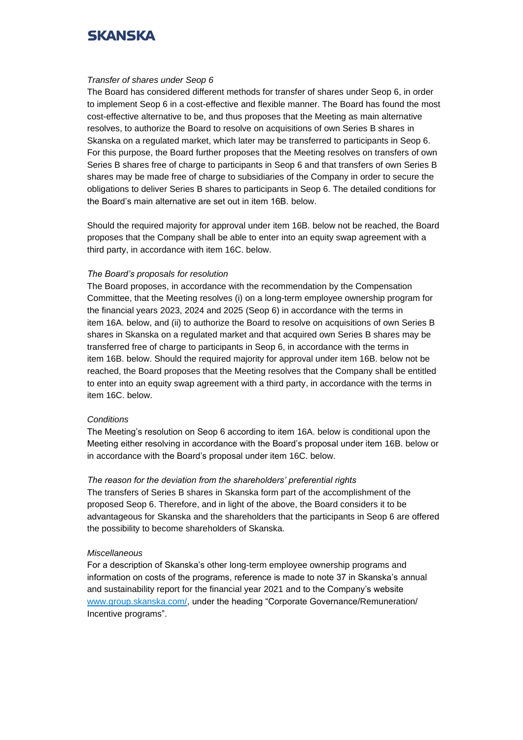#### *Transfer of shares under Seop 6*

The Board has considered different methods for transfer of shares under Seop 6, in order to implement Seop 6 in a cost-effective and flexible manner. The Board has found the most cost-effective alternative to be, and thus proposes that the Meeting as main alternative resolves, to authorize the Board to resolve on acquisitions of own Series B shares in Skanska on a regulated market, which later may be transferred to participants in Seop 6. For this purpose, the Board further proposes that the Meeting resolves on transfers of own Series B shares free of charge to participants in Seop 6 and that transfers of own Series B shares may be made free of charge to subsidiaries of the Company in order to secure the obligations to deliver Series B shares to participants in Seop 6. The detailed conditions for the Board's main alternative are set out in item 16B. below.

Should the required majority for approval under item 16B. below not be reached, the Board proposes that the Company shall be able to enter into an equity swap agreement with a third party, in accordance with item 16C. below.

### *The Board's proposals for resolution*

The Board proposes, in accordance with the recommendation by the Compensation Committee, that the Meeting resolves (i) on a long-term employee ownership program for the financial years 2023, 2024 and 2025 (Seop 6) in accordance with the terms in item 16A. below, and (ii) to authorize the Board to resolve on acquisitions of own Series B shares in Skanska on a regulated market and that acquired own Series B shares may be transferred free of charge to participants in Seop 6, in accordance with the terms in item 16B. below. Should the required majority for approval under item 16B. below not be reached, the Board proposes that the Meeting resolves that the Company shall be entitled to enter into an equity swap agreement with a third party, in accordance with the terms in item 16C. below.

### *Conditions*

The Meeting's resolution on Seop 6 according to item 16A. below is conditional upon the Meeting either resolving in accordance with the Board's proposal under item 16B. below or in accordance with the Board's proposal under item 16C. below.

### *The reason for the deviation from the shareholders' preferential rights*

The transfers of Series B shares in Skanska form part of the accomplishment of the proposed Seop 6. Therefore, and in light of the above, the Board considers it to be advantageous for Skanska and the shareholders that the participants in Seop 6 are offered the possibility to become shareholders of Skanska.

#### *Miscellaneous*

For a description of Skanska's other long-term employee ownership programs and information on costs of the programs, reference is made to note 37 in Skanska's annual and sustainability report for the financial year 2021 and to the Company's website [www.group.skanska.com/,](http://www.group.skanska.com/) under the heading "Corporate Governance/Remuneration/ Incentive programs".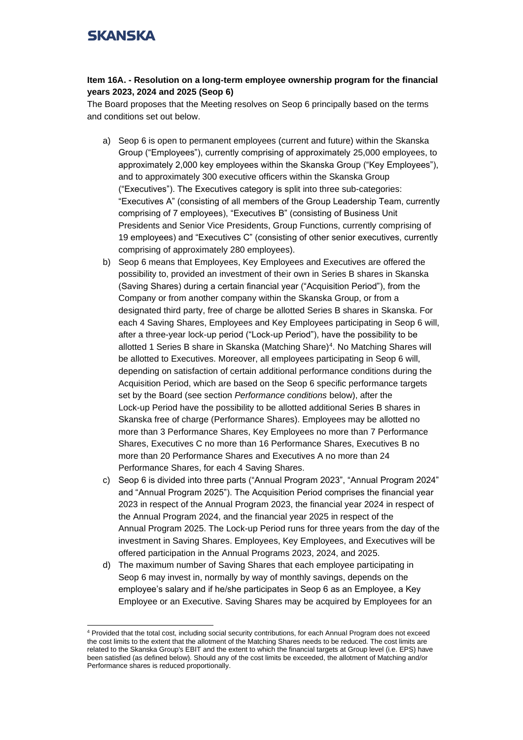### **Item 16A. - Resolution on a long-term employee ownership program for the financial years 2023, 2024 and 2025 (Seop 6)**

The Board proposes that the Meeting resolves on Seop 6 principally based on the terms and conditions set out below.

- a) Seop 6 is open to permanent employees (current and future) within the Skanska Group ("Employees"), currently comprising of approximately 25,000 employees, to approximately 2,000 key employees within the Skanska Group ("Key Employees"), and to approximately 300 executive officers within the Skanska Group ("Executives"). The Executives category is split into three sub-categories: "Executives A" (consisting of all members of the Group Leadership Team, currently comprising of 7 employees), "Executives B" (consisting of Business Unit Presidents and Senior Vice Presidents, Group Functions, currently comprising of 19 employees) and "Executives C" (consisting of other senior executives, currently comprising of approximately 280 employees).
- b) Seop 6 means that Employees, Key Employees and Executives are offered the possibility to, provided an investment of their own in Series B shares in Skanska (Saving Shares) during a certain financial year ("Acquisition Period"), from the Company or from another company within the Skanska Group, or from a designated third party, free of charge be allotted Series B shares in Skanska. For each 4 Saving Shares, Employees and Key Employees participating in Seop 6 will, after a three-year lock-up period ("Lock-up Period"), have the possibility to be allotted 1 Series B share in Skanska (Matching Share)<sup>4</sup>. No Matching Shares will be allotted to Executives. Moreover, all employees participating in Seop 6 will, depending on satisfaction of certain additional performance conditions during the Acquisition Period, which are based on the Seop 6 specific performance targets set by the Board (see section *Performance conditions* below), after the Lock-up Period have the possibility to be allotted additional Series B shares in Skanska free of charge (Performance Shares). Employees may be allotted no more than 3 Performance Shares, Key Employees no more than 7 Performance Shares, Executives C no more than 16 Performance Shares, Executives B no more than 20 Performance Shares and Executives A no more than 24 Performance Shares, for each 4 Saving Shares.
- c) Seop 6 is divided into three parts ("Annual Program 2023", "Annual Program 2024" and "Annual Program 2025"). The Acquisition Period comprises the financial year 2023 in respect of the Annual Program 2023, the financial year 2024 in respect of the Annual Program 2024, and the financial year 2025 in respect of the Annual Program 2025. The Lock-up Period runs for three years from the day of the investment in Saving Shares. Employees, Key Employees, and Executives will be offered participation in the Annual Programs 2023, 2024, and 2025.
- d) The maximum number of Saving Shares that each employee participating in Seop 6 may invest in, normally by way of monthly savings, depends on the employee's salary and if he/she participates in Seop 6 as an Employee, a Key Employee or an Executive. Saving Shares may be acquired by Employees for an

<sup>4</sup> Provided that the total cost, including social security contributions, for each Annual Program does not exceed the cost limits to the extent that the allotment of the Matching Shares needs to be reduced. The cost limits are related to the Skanska Group's EBIT and the extent to which the financial targets at Group level (i.e. EPS) have been satisfied (as defined below). Should any of the cost limits be exceeded, the allotment of Matching and/or Performance shares is reduced proportionally.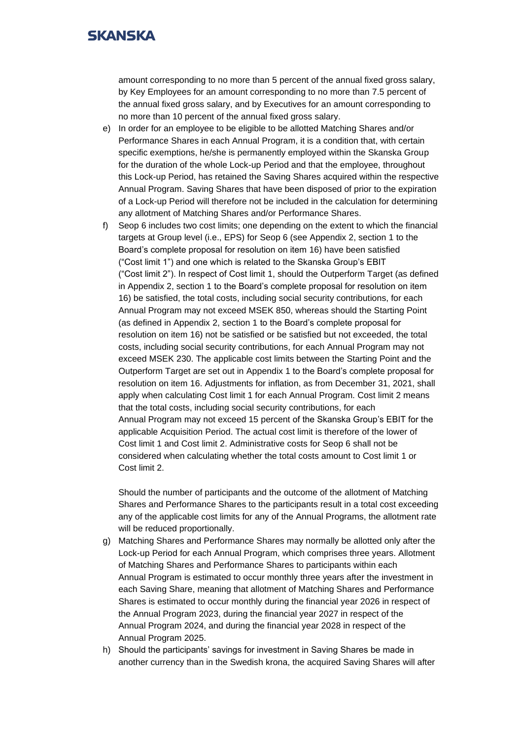amount corresponding to no more than 5 percent of the annual fixed gross salary, by Key Employees for an amount corresponding to no more than 7.5 percent of the annual fixed gross salary, and by Executives for an amount corresponding to no more than 10 percent of the annual fixed gross salary.

- e) In order for an employee to be eligible to be allotted Matching Shares and/or Performance Shares in each Annual Program, it is a condition that, with certain specific exemptions, he/she is permanently employed within the Skanska Group for the duration of the whole Lock-up Period and that the employee, throughout this Lock-up Period, has retained the Saving Shares acquired within the respective Annual Program. Saving Shares that have been disposed of prior to the expiration of a Lock-up Period will therefore not be included in the calculation for determining any allotment of Matching Shares and/or Performance Shares.
- f) Seop 6 includes two cost limits; one depending on the extent to which the financial targets at Group level (i.e., EPS) for Seop 6 (see Appendix 2, section 1 to the Board's complete proposal for resolution on item 16) have been satisfied ("Cost limit 1") and one which is related to the Skanska Group's EBIT ("Cost limit 2"). In respect of Cost limit 1, should the Outperform Target (as defined in Appendix 2, section 1 to the Board's complete proposal for resolution on item 16) be satisfied, the total costs, including social security contributions, for each Annual Program may not exceed MSEK 850, whereas should the Starting Point (as defined in Appendix 2, section 1 to the Board's complete proposal for resolution on item 16) not be satisfied or be satisfied but not exceeded, the total costs, including social security contributions, for each Annual Program may not exceed MSEK 230. The applicable cost limits between the Starting Point and the Outperform Target are set out in Appendix 1 to the Board's complete proposal for resolution on item 16. Adjustments for inflation, as from December 31, 2021, shall apply when calculating Cost limit 1 for each Annual Program. Cost limit 2 means that the total costs, including social security contributions, for each Annual Program may not exceed 15 percent of the Skanska Group's EBIT for the applicable Acquisition Period. The actual cost limit is therefore of the lower of Cost limit 1 and Cost limit 2. Administrative costs for Seop 6 shall not be considered when calculating whether the total costs amount to Cost limit 1 or Cost limit 2.

Should the number of participants and the outcome of the allotment of Matching Shares and Performance Shares to the participants result in a total cost exceeding any of the applicable cost limits for any of the Annual Programs, the allotment rate will be reduced proportionally.

- g) Matching Shares and Performance Shares may normally be allotted only after the Lock-up Period for each Annual Program, which comprises three years. Allotment of Matching Shares and Performance Shares to participants within each Annual Program is estimated to occur monthly three years after the investment in each Saving Share, meaning that allotment of Matching Shares and Performance Shares is estimated to occur monthly during the financial year 2026 in respect of the Annual Program 2023, during the financial year 2027 in respect of the Annual Program 2024, and during the financial year 2028 in respect of the Annual Program 2025.
- h) Should the participants' savings for investment in Saving Shares be made in another currency than in the Swedish krona, the acquired Saving Shares will after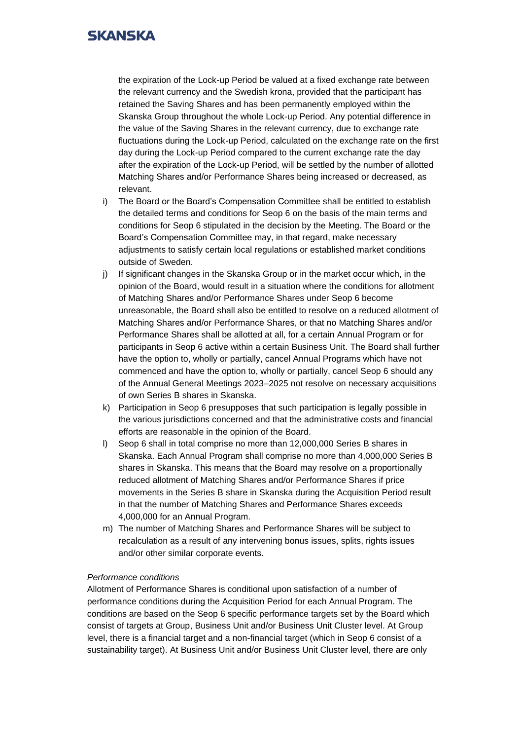the expiration of the Lock-up Period be valued at a fixed exchange rate between the relevant currency and the Swedish krona, provided that the participant has retained the Saving Shares and has been permanently employed within the Skanska Group throughout the whole Lock-up Period. Any potential difference in the value of the Saving Shares in the relevant currency, due to exchange rate fluctuations during the Lock-up Period, calculated on the exchange rate on the first day during the Lock-up Period compared to the current exchange rate the day after the expiration of the Lock-up Period, will be settled by the number of allotted Matching Shares and/or Performance Shares being increased or decreased, as relevant.

- i) The Board or the Board's Compensation Committee shall be entitled to establish the detailed terms and conditions for Seop 6 on the basis of the main terms and conditions for Seop 6 stipulated in the decision by the Meeting. The Board or the Board's Compensation Committee may, in that regard, make necessary adjustments to satisfy certain local regulations or established market conditions outside of Sweden.
- j) If significant changes in the Skanska Group or in the market occur which, in the opinion of the Board, would result in a situation where the conditions for allotment of Matching Shares and/or Performance Shares under Seop 6 become unreasonable, the Board shall also be entitled to resolve on a reduced allotment of Matching Shares and/or Performance Shares, or that no Matching Shares and/or Performance Shares shall be allotted at all, for a certain Annual Program or for participants in Seop 6 active within a certain Business Unit. The Board shall further have the option to, wholly or partially, cancel Annual Programs which have not commenced and have the option to, wholly or partially, cancel Seop 6 should any of the Annual General Meetings 2023–2025 not resolve on necessary acquisitions of own Series B shares in Skanska.
- k) Participation in Seop 6 presupposes that such participation is legally possible in the various jurisdictions concerned and that the administrative costs and financial efforts are reasonable in the opinion of the Board.
- l) Seop 6 shall in total comprise no more than 12,000,000 Series B shares in Skanska. Each Annual Program shall comprise no more than 4,000,000 Series B shares in Skanska. This means that the Board may resolve on a proportionally reduced allotment of Matching Shares and/or Performance Shares if price movements in the Series B share in Skanska during the Acquisition Period result in that the number of Matching Shares and Performance Shares exceeds 4,000,000 for an Annual Program.
- m) The number of Matching Shares and Performance Shares will be subject to recalculation as a result of any intervening bonus issues, splits, rights issues and/or other similar corporate events.

### *Performance conditions*

Allotment of Performance Shares is conditional upon satisfaction of a number of performance conditions during the Acquisition Period for each Annual Program. The conditions are based on the Seop 6 specific performance targets set by the Board which consist of targets at Group, Business Unit and/or Business Unit Cluster level. At Group level, there is a financial target and a non-financial target (which in Seop 6 consist of a sustainability target). At Business Unit and/or Business Unit Cluster level, there are only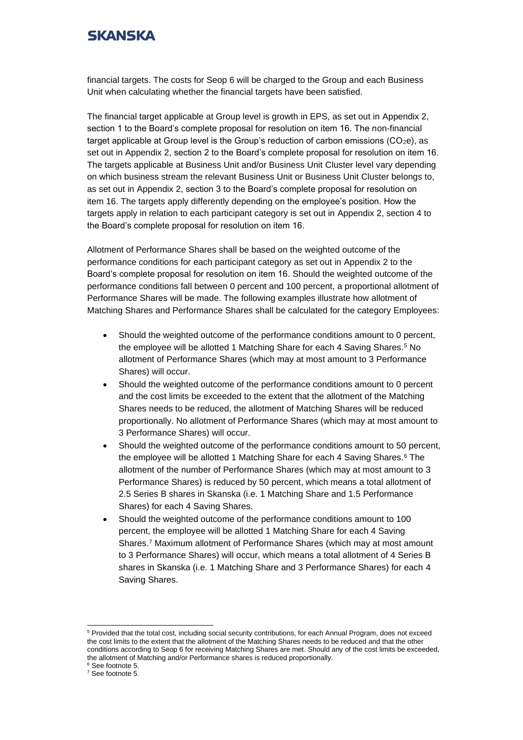financial targets. The costs for Seop 6 will be charged to the Group and each Business Unit when calculating whether the financial targets have been satisfied.

The financial target applicable at Group level is growth in EPS, as set out in Appendix 2, section 1 to the Board's complete proposal for resolution on item 16. The non-financial target applicable at Group level is the Group's reduction of carbon emissions  $(CO_2e)$ , as set out in Appendix 2, section 2 to the Board's complete proposal for resolution on item 16. The targets applicable at Business Unit and/or Business Unit Cluster level vary depending on which business stream the relevant Business Unit or Business Unit Cluster belongs to, as set out in Appendix 2, section 3 to the Board's complete proposal for resolution on item 16. The targets apply differently depending on the employee's position. How the targets apply in relation to each participant category is set out in Appendix 2, section 4 to the Board's complete proposal for resolution on item 16.

Allotment of Performance Shares shall be based on the weighted outcome of the performance conditions for each participant category as set out in Appendix 2 to the Board's complete proposal for resolution on item 16. Should the weighted outcome of the performance conditions fall between 0 percent and 100 percent, a proportional allotment of Performance Shares will be made. The following examples illustrate how allotment of Matching Shares and Performance Shares shall be calculated for the category Employees:

- Should the weighted outcome of the performance conditions amount to 0 percent, the employee will be allotted 1 Matching Share for each 4 Saving Shares.<sup>5</sup> No allotment of Performance Shares (which may at most amount to 3 Performance Shares) will occur.
- Should the weighted outcome of the performance conditions amount to 0 percent and the cost limits be exceeded to the extent that the allotment of the Matching Shares needs to be reduced, the allotment of Matching Shares will be reduced proportionally. No allotment of Performance Shares (which may at most amount to 3 Performance Shares) will occur.
- Should the weighted outcome of the performance conditions amount to 50 percent, the employee will be allotted 1 Matching Share for each 4 Saving Shares.<sup>6</sup> The allotment of the number of Performance Shares (which may at most amount to 3 Performance Shares) is reduced by 50 percent, which means a total allotment of 2.5 Series B shares in Skanska (i.e. 1 Matching Share and 1.5 Performance Shares) for each 4 Saving Shares.
- Should the weighted outcome of the performance conditions amount to 100 percent, the employee will be allotted 1 Matching Share for each 4 Saving Shares.<sup>7</sup> Maximum allotment of Performance Shares (which may at most amount to 3 Performance Shares) will occur, which means a total allotment of 4 Series B shares in Skanska (i.e. 1 Matching Share and 3 Performance Shares) for each 4 Saving Shares.

<sup>6</sup> See footnote 5.

<sup>&</sup>lt;sup>5</sup> Provided that the total cost, including social security contributions, for each Annual Program, does not exceed the cost limits to the extent that the allotment of the Matching Shares needs to be reduced and that the other conditions according to Seop 6 for receiving Matching Shares are met. Should any of the cost limits be exceeded, the allotment of Matching and/or Performance shares is reduced proportionally.

<sup>7</sup> See footnote 5.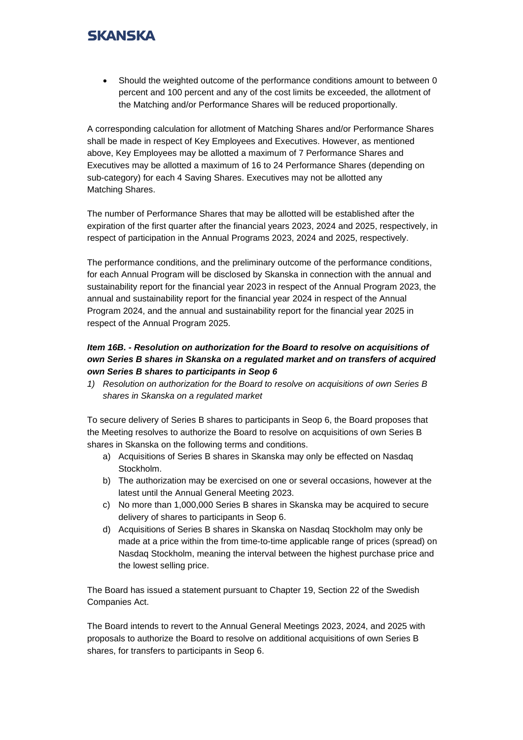• Should the weighted outcome of the performance conditions amount to between 0 percent and 100 percent and any of the cost limits be exceeded, the allotment of the Matching and/or Performance Shares will be reduced proportionally.

A corresponding calculation for allotment of Matching Shares and/or Performance Shares shall be made in respect of Key Employees and Executives. However, as mentioned above, Key Employees may be allotted a maximum of 7 Performance Shares and Executives may be allotted a maximum of 16 to 24 Performance Shares (depending on sub-category) for each 4 Saving Shares. Executives may not be allotted any Matching Shares.

The number of Performance Shares that may be allotted will be established after the expiration of the first quarter after the financial years 2023, 2024 and 2025, respectively, in respect of participation in the Annual Programs 2023, 2024 and 2025, respectively.

The performance conditions, and the preliminary outcome of the performance conditions, for each Annual Program will be disclosed by Skanska in connection with the annual and sustainability report for the financial year 2023 in respect of the Annual Program 2023, the annual and sustainability report for the financial year 2024 in respect of the Annual Program 2024, and the annual and sustainability report for the financial year 2025 in respect of the Annual Program 2025.

## *Item 16B. - Resolution on authorization for the Board to resolve on acquisitions of own Series B shares in Skanska on a regulated market and on transfers of acquired own Series B shares to participants in Seop 6*

*1) Resolution on authorization for the Board to resolve on acquisitions of own Series B shares in Skanska on a regulated market*

To secure delivery of Series B shares to participants in Seop 6, the Board proposes that the Meeting resolves to authorize the Board to resolve on acquisitions of own Series B shares in Skanska on the following terms and conditions.

- a) Acquisitions of Series B shares in Skanska may only be effected on Nasdaq Stockholm.
- b) The authorization may be exercised on one or several occasions, however at the latest until the Annual General Meeting 2023.
- c) No more than 1,000,000 Series B shares in Skanska may be acquired to secure delivery of shares to participants in Seop 6.
- d) Acquisitions of Series B shares in Skanska on Nasdaq Stockholm may only be made at a price within the from time-to-time applicable range of prices (spread) on Nasdaq Stockholm, meaning the interval between the highest purchase price and the lowest selling price.

The Board has issued a statement pursuant to Chapter 19, Section 22 of the Swedish Companies Act.

The Board intends to revert to the Annual General Meetings 2023, 2024, and 2025 with proposals to authorize the Board to resolve on additional acquisitions of own Series B shares, for transfers to participants in Seop 6.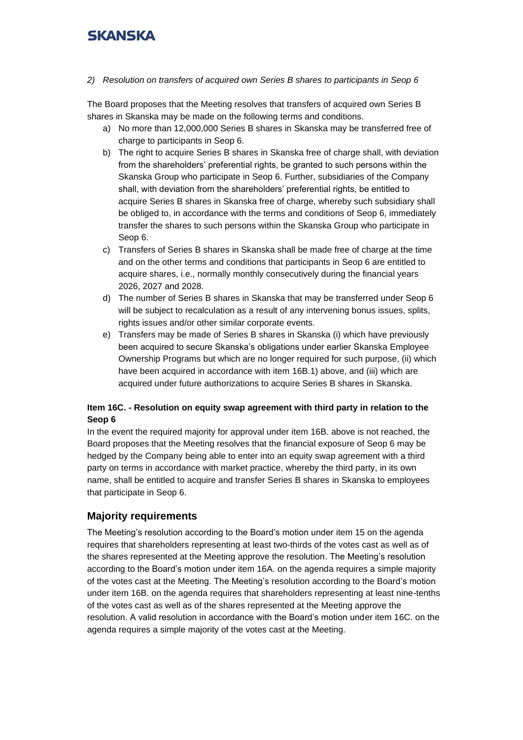*2) Resolution on transfers of acquired own Series B shares to participants in Seop 6*

The Board proposes that the Meeting resolves that transfers of acquired own Series B shares in Skanska may be made on the following terms and conditions.

- a) No more than 12,000,000 Series B shares in Skanska may be transferred free of charge to participants in Seop 6.
- b) The right to acquire Series B shares in Skanska free of charge shall, with deviation from the shareholders' preferential rights, be granted to such persons within the Skanska Group who participate in Seop 6. Further, subsidiaries of the Company shall, with deviation from the shareholders' preferential rights, be entitled to acquire Series B shares in Skanska free of charge, whereby such subsidiary shall be obliged to, in accordance with the terms and conditions of Seop 6, immediately transfer the shares to such persons within the Skanska Group who participate in Seop 6.
- c) Transfers of Series B shares in Skanska shall be made free of charge at the time and on the other terms and conditions that participants in Seop 6 are entitled to acquire shares, i.e., normally monthly consecutively during the financial years 2026, 2027 and 2028.
- d) The number of Series B shares in Skanska that may be transferred under Seop 6 will be subject to recalculation as a result of any intervening bonus issues, splits, rights issues and/or other similar corporate events.
- e) Transfers may be made of Series B shares in Skanska (i) which have previously been acquired to secure Skanska's obligations under earlier Skanska Employee Ownership Programs but which are no longer required for such purpose, (ii) which have been acquired in accordance with item 16B.1) above, and (iii) which are acquired under future authorizations to acquire Series B shares in Skanska.

## **Item 16C. - Resolution on equity swap agreement with third party in relation to the Seop 6**

In the event the required majority for approval under item 16B. above is not reached, the Board proposes that the Meeting resolves that the financial exposure of Seop 6 may be hedged by the Company being able to enter into an equity swap agreement with a third party on terms in accordance with market practice, whereby the third party, in its own name, shall be entitled to acquire and transfer Series B shares in Skanska to employees that participate in Seop 6.

## **Majority requirements**

The Meeting's resolution according to the Board's motion under item 15 on the agenda requires that shareholders representing at least two-thirds of the votes cast as well as of the shares represented at the Meeting approve the resolution. The Meeting's resolution according to the Board's motion under item 16A. on the agenda requires a simple majority of the votes cast at the Meeting. The Meeting's resolution according to the Board's motion under item 16B. on the agenda requires that shareholders representing at least nine-tenths of the votes cast as well as of the shares represented at the Meeting approve the resolution. A valid resolution in accordance with the Board's motion under item 16C. on the agenda requires a simple majority of the votes cast at the Meeting.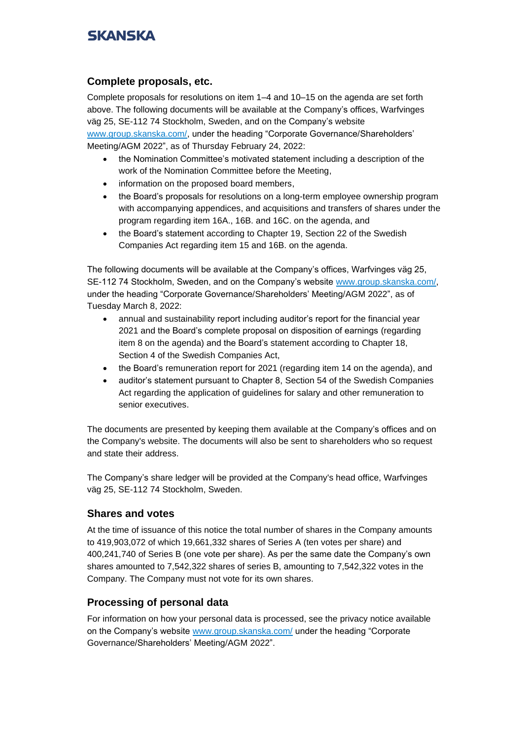## **Complete proposals, etc.**

Complete proposals for resolutions on item 1–4 and 10–15 on the agenda are set forth above. The following documents will be available at the Company's offices, Warfvinges väg 25, SE-112 74 Stockholm, Sweden, and on the Company's website [www.group.skanska.com/,](http://www.group.skanska.com/) under the heading "Corporate Governance/Shareholders'

Meeting/AGM 2022", as of Thursday February 24, 2022:

- the Nomination Committee's motivated statement including a description of the work of the Nomination Committee before the Meeting,
- information on the proposed board members,
- the Board's proposals for resolutions on a long-term employee ownership program with accompanying appendices, and acquisitions and transfers of shares under the program regarding item 16A., 16B. and 16C. on the agenda, and
- the Board's statement according to Chapter 19, Section 22 of the Swedish Companies Act regarding item 15 and 16B. on the agenda.

The following documents will be available at the Company's offices, Warfvinges väg 25, SE-112 74 Stockholm, Sweden, and on the Company's website [www.group.skanska.com/,](http://www.group.skanska.com/) under the heading "Corporate Governance/Shareholders' Meeting/AGM 2022", as of Tuesday March 8, 2022:

- annual and sustainability report including auditor's report for the financial year 2021 and the Board's complete proposal on disposition of earnings (regarding item 8 on the agenda) and the Board's statement according to Chapter 18, Section 4 of the Swedish Companies Act,
- the Board's remuneration report for 2021 (regarding item 14 on the agenda), and
- auditor's statement pursuant to Chapter 8, Section 54 of the Swedish Companies Act regarding the application of guidelines for salary and other remuneration to senior executives.

The documents are presented by keeping them available at the Company's offices and on the Company's website. The documents will also be sent to shareholders who so request and state their address.

The Company's share ledger will be provided at the Company's head office, Warfvinges väg 25, SE-112 74 Stockholm, Sweden.

## **Shares and votes**

At the time of issuance of this notice the total number of shares in the Company amounts to 419,903,072 of which 19,661,332 shares of Series A (ten votes per share) and 400,241,740 of Series B (one vote per share). As per the same date the Company's own shares amounted to 7,542,322 shares of series B, amounting to 7,542,322 votes in the Company. The Company must not vote for its own shares.

## **Processing of personal data**

For information on how your personal data is processed, see the privacy notice available on the Company's website [www.group.skanska.com/](http://www.group.skanska.com/) under the heading "Corporate Governance/Shareholders' Meeting/AGM 2022".